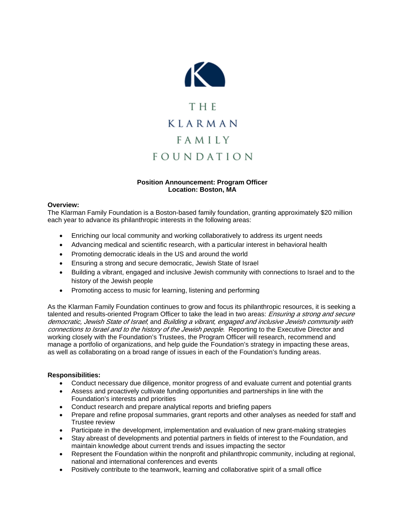

# **Position Announcement: Program Officer Location: Boston, MA**

## **Overview:**

The Klarman Family Foundation is a Boston-based family foundation, granting approximately \$20 million each year to advance its philanthropic interests in the following areas:

- Enriching our local community and working collaboratively to address its urgent needs
- Advancing medical and scientific research, with a particular interest in behavioral health
- Promoting democratic ideals in the US and around the world
- Ensuring a strong and secure democratic, Jewish State of Israel
- Building a vibrant, engaged and inclusive Jewish community with connections to Israel and to the history of the Jewish people
- Promoting access to music for learning, listening and performing

As the Klarman Family Foundation continues to grow and focus its philanthropic resources, it is seeking a talented and results-oriented Program Officer to take the lead in two areas: Ensuring a strong and secure democratic, Jewish State of Israel; and Building a vibrant, engaged and inclusive Jewish community with connections to Israel and to the history of the Jewish people. Reporting to the Executive Director and working closely with the Foundation's Trustees, the Program Officer will research, recommend and manage a portfolio of organizations, and help guide the Foundation's strategy in impacting these areas, as well as collaborating on a broad range of issues in each of the Foundation's funding areas.

## **Responsibilities:**

- Conduct necessary due diligence, monitor progress of and evaluate current and potential grants
- Assess and proactively cultivate funding opportunities and partnerships in line with the Foundation's interests and priorities
- Conduct research and prepare analytical reports and briefing papers
- Prepare and refine proposal summaries, grant reports and other analyses as needed for staff and Trustee review
- Participate in the development, implementation and evaluation of new grant-making strategies
- Stay abreast of developments and potential partners in fields of interest to the Foundation, and maintain knowledge about current trends and issues impacting the sector
- Represent the Foundation within the nonprofit and philanthropic community, including at regional, national and international conferences and events
- Positively contribute to the teamwork, learning and collaborative spirit of a small office